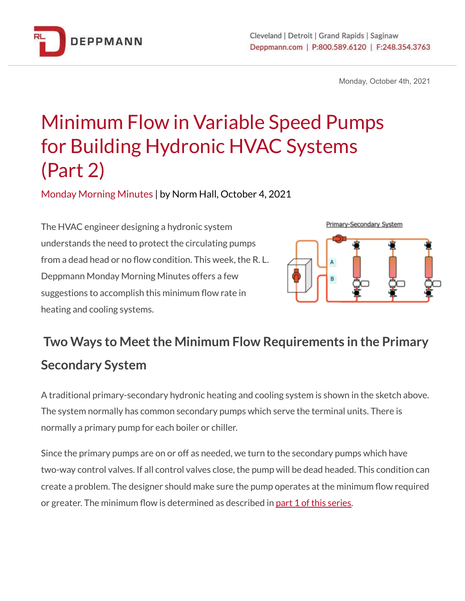

Monday, October 4th, 2021

## Minimum Flow in Variable Speed Pumps for Building Hydronic HVAC Systems (Part 2)

Monday Morning Minutes | by Norm Hall, October 4, 2021

The HVAC engineer designing a hydronic system understands the need to protect the circulating pumps from a dead head or no flow condition. This week, the R. L. Deppmann Monday Morning Minutes offers a few suggestions to accomplish this minimum flow rate in heating and cooling systems.



## **Two** Ways to Meet the Minimum Flow Requirements in the Primary **Secondary System**

A traditional primary-secondary hydronic heating and cooling system is shown in the sketch above. The system normally has common secondary pumps which serve the terminal units. There is normally a primary pump for each boiler or chiller.

Since the primary pumps are on or off as needed, we turn to the secondary pumps which have two-way control valves. If all control valves close, the pump will be dead headed. This condition can create a problem. The designer should make sure the pump operates at the minimum flow required or greater. The minimum flow is determined as described in part 1 of this [series.](https://bit.ly/3m9kM04)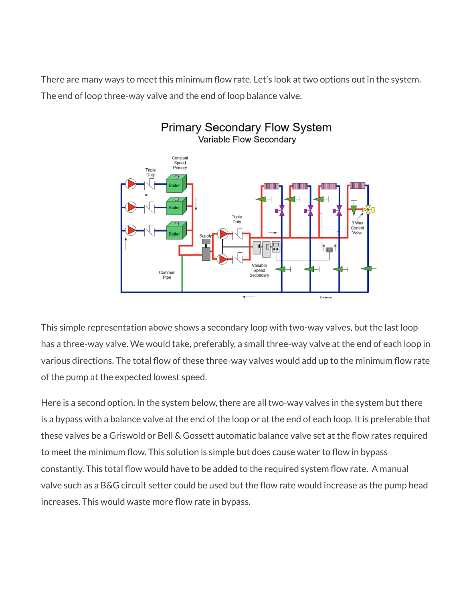There are many ways to meet this minimum flow rate. Let's look at two options out in the system. The end of loop three-way valve and the end of loop balance valve.



This simple representation above shows a secondary loop with two-way valves, but the last loop has a three-way valve. We would take, preferably, a small three-way valve at the end of each loop in various directions. The total flow of these three-way valves would add up to the minimum flow rate of the pump at the expected lowest speed.

Here is a second option. In the system below, there are all two-way valves in the system but there is a bypass with a balance valve at the end of the loop or at the end of each loop. It is preferable that these valves be a Griswold or Bell & Gossett automatic balance valve set at the flow rates required to meet the minimum flow. This solution is simple but does cause water to flow in bypass constantly. This total flow would have to be added to the required system flow rate. A manual valve such as a B&G circuit setter could be used but the flow rate would increase as the pump head increases. This would waste more flow rate in bypass.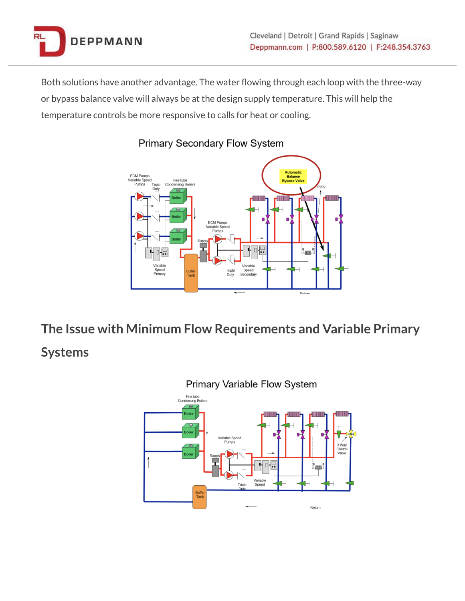

Both solutions have another advantage. The water flowing through each loop with the three-way or bypass balance valve will always be at the design supply temperature. This will help the temperature controls be more responsive to calls for heat or cooling.



## **Primary Secondary Flow System**

**The Issue with Minimum Flow Requirements and Variable Primary Systems**